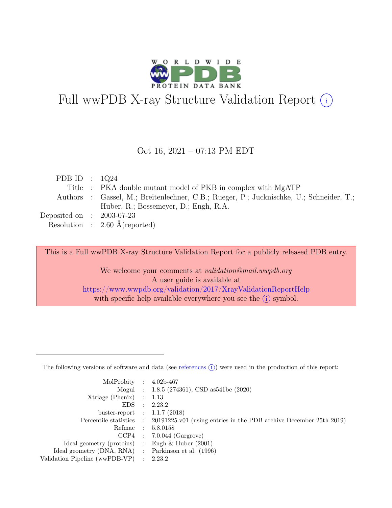

# Full wwPDB X-ray Structure Validation Report  $(i)$

#### Oct 16, 2021 – 07:13 PM EDT

| PDB ID : $1Q24$             |                                                                                         |
|-----------------------------|-----------------------------------------------------------------------------------------|
|                             | Title : PKA double mutant model of PKB in complex with MgATP                            |
|                             | Authors : Gassel, M.; Breitenlechner, C.B.; Rueger, P.; Jucknischke, U.; Schneider, T.; |
|                             | Huber, R.; Bossemeyer, D.; Engh, R.A.                                                   |
| Deposited on : $2003-07-23$ |                                                                                         |
|                             | Resolution : $2.60 \text{ Å}$ (reported)                                                |

This is a Full wwPDB X-ray Structure Validation Report for a publicly released PDB entry.

We welcome your comments at validation@mail.wwpdb.org A user guide is available at <https://www.wwpdb.org/validation/2017/XrayValidationReportHelp> with specific help available everywhere you see the  $(i)$  symbol.

The following versions of software and data (see [references](https://www.wwpdb.org/validation/2017/XrayValidationReportHelp#references)  $(i)$ ) were used in the production of this report:

| MolProbity : $4.02b-467$                            |                                                                                            |
|-----------------------------------------------------|--------------------------------------------------------------------------------------------|
|                                                     |                                                                                            |
|                                                     | Mogul : 1.8.5 (274361), CSD as 541be (2020)                                                |
| $Xtriangle (Phenix)$ : 1.13                         |                                                                                            |
|                                                     | EDS : 2.23.2                                                                               |
| buster-report : $1.1.7$ (2018)                      |                                                                                            |
|                                                     | Percentile statistics : 20191225.v01 (using entries in the PDB archive December 25th 2019) |
| Refmac : 5.8.0158                                   |                                                                                            |
|                                                     | $CCP4$ : 7.0.044 (Gargrove)                                                                |
| Ideal geometry (proteins) : Engh $\&$ Huber (2001)  |                                                                                            |
| Ideal geometry (DNA, RNA) : Parkinson et al. (1996) |                                                                                            |
| Validation Pipeline (wwPDB-VP) : 2.23.2             |                                                                                            |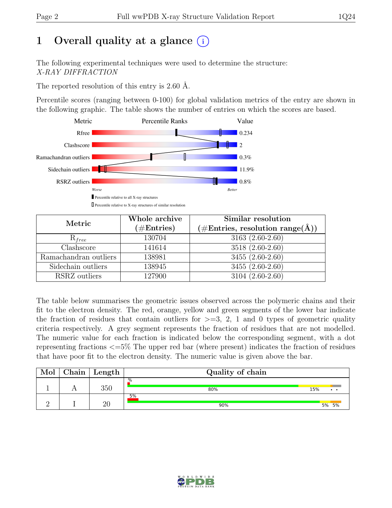# 1 Overall quality at a glance  $(i)$

The following experimental techniques were used to determine the structure: X-RAY DIFFRACTION

The reported resolution of this entry is 2.60 Å.

Percentile scores (ranging between 0-100) for global validation metrics of the entry are shown in the following graphic. The table shows the number of entries on which the scores are based.



| Metric                | Whole archive<br>$(\#Entries)$ | Similar resolution<br>$(\#\text{Entries}, \, \text{resolution range}(\text{\AA}))$ |
|-----------------------|--------------------------------|------------------------------------------------------------------------------------|
| $R_{free}$            | 130704                         | $3163(2.60-2.60)$                                                                  |
| Clashscore            | 141614                         | 3518 (2.60-2.60)                                                                   |
| Ramachandran outliers | 138981                         | 3455 (2.60-2.60)                                                                   |
| Sidechain outliers    | 138945                         | 3455 (2.60-2.60)                                                                   |
| RSRZ outliers         | 127900                         | $3104(2.60-2.60)$                                                                  |

The table below summarises the geometric issues observed across the polymeric chains and their fit to the electron density. The red, orange, yellow and green segments of the lower bar indicate the fraction of residues that contain outliers for  $\geq$ =3, 2, 1 and 0 types of geometric quality criteria respectively. A grey segment represents the fraction of residues that are not modelled. The numeric value for each fraction is indicated below the corresponding segment, with a dot representing fractions <=5% The upper red bar (where present) indicates the fraction of residues that have poor fit to the electron density. The numeric value is given above the bar.

| Mol | Chain | $\perp$ Length | Quality of chain |     |    |    |  |  |  |
|-----|-------|----------------|------------------|-----|----|----|--|--|--|
|     |       | 350            | .%<br>80%        | 15% |    |    |  |  |  |
|     |       | 20             | 5%<br>90%        |     | 5% | 5% |  |  |  |

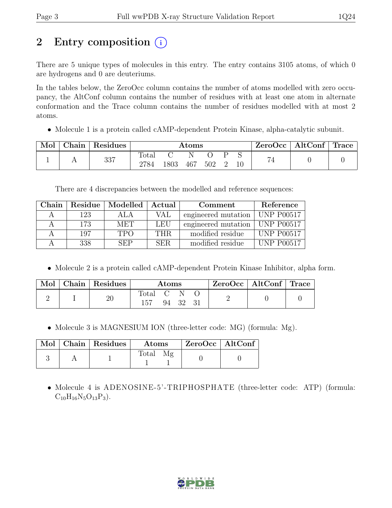# 2 Entry composition (i)

There are 5 unique types of molecules in this entry. The entry contains 3105 atoms, of which 0 are hydrogens and 0 are deuteriums.

In the tables below, the ZeroOcc column contains the number of atoms modelled with zero occupancy, the AltConf column contains the number of residues with at least one atom in alternate conformation and the Trace column contains the number of residues modelled with at most 2 atoms.

• Molecule 1 is a protein called cAMP-dependent Protein Kinase, alpha-catalytic subunit.

| Mol | ${\rm Chain}$ | Residues | $\rm{Atoms}$  |      |     |     | $\text{ZeroOcc}$   AltConf   Trace |        |                  |  |
|-----|---------------|----------|---------------|------|-----|-----|------------------------------------|--------|------------------|--|
|     |               | 337      | Total<br>2784 | 1803 | 467 | 502 |                                    | $10\,$ | $\overline{ }$ . |  |

There are 4 discrepancies between the modelled and reference sequences:

| Chain |     | Residue   Modelled   Actual |      | Comment                          | Reference         |
|-------|-----|-----------------------------|------|----------------------------------|-------------------|
|       | 123 | ALA                         | VAL  | engineered mutation   UNP P00517 |                   |
|       | 173 | MET                         | LEU  | engineered mutation   UNP P00517 |                   |
|       | 197 | <b>TPO</b>                  | THR. | modified residue                 | <b>UNP P00517</b> |
|       | 338 | <b>SEP</b>                  | SER. | modified residue                 | <b>UNP P00517</b> |

• Molecule 2 is a protein called cAMP-dependent Protein Kinase Inhibitor, alpha form.

| Mol | Chain   Residues |       | $\rm{Atoms}$ |  | $ZeroOcc \mid AltConf \mid Trace$ |  |
|-----|------------------|-------|--------------|--|-----------------------------------|--|
|     |                  | Total | 94 32        |  |                                   |  |

• Molecule 3 is MAGNESIUM ION (three-letter code: MG) (formula: Mg).

|  | Mol   Chain   Residues | $\rm{Atoms}$ | $\mid$ ZeroOcc $\mid$ AltConf |  |
|--|------------------------|--------------|-------------------------------|--|
|  |                        | Total Mg     |                               |  |

• Molecule 4 is ADENOSINE-5'-TRIPHOSPHATE (three-letter code: ATP) (formula:  $C_{10}H_{16}N_5O_{13}P_3$ .

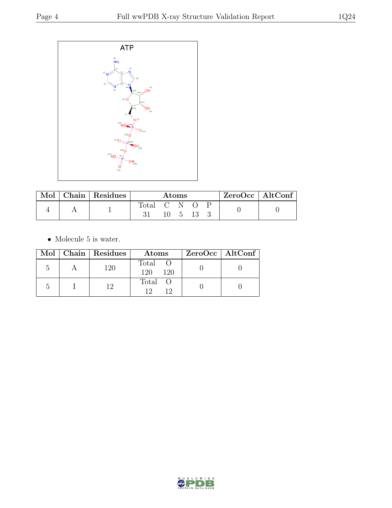

| Mol | $\sqrt{\frac{1}{1}}$ Chain   Residues | Atoms     |  |   |  | $ZeroOcc \mid AltConf \mid$ |  |
|-----|---------------------------------------|-----------|--|---|--|-----------------------------|--|
|     |                                       | fotal C N |  | h |  |                             |  |

 $\bullet\,$  Molecule 5 is water.

|  | Mol   Chain   Residues | Atoms                 | ZeroOcc   AltConf |
|--|------------------------|-----------------------|-------------------|
|  | 120                    | Total O<br>120<br>120 |                   |
|  |                        | Total O<br>19         |                   |

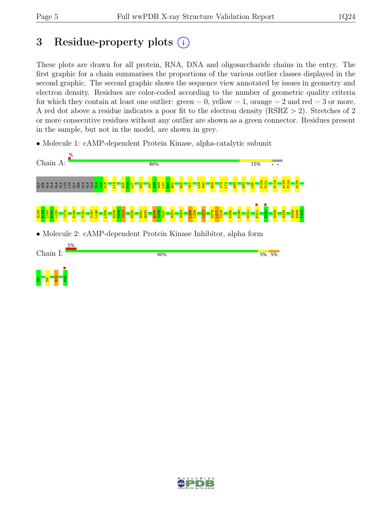# 3 Residue-property plots  $(i)$

These plots are drawn for all protein, RNA, DNA and oligosaccharide chains in the entry. The first graphic for a chain summarises the proportions of the various outlier classes displayed in the second graphic. The second graphic shows the sequence view annotated by issues in geometry and electron density. Residues are color-coded according to the number of geometric quality criteria for which they contain at least one outlier:  $green = 0$ , yellow  $= 1$ , orange  $= 2$  and red  $= 3$  or more. A red dot above a residue indicates a poor fit to the electron density (RSRZ > 2). Stretches of 2 or more consecutive residues without any outlier are shown as a green connector. Residues present in the sample, but not in the model, are shown in grey.

• Molecule 1: cAMP-dependent Protein Kinase, alpha-catalytic subunit



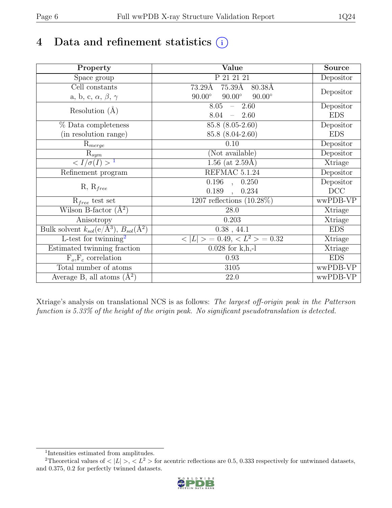# 4 Data and refinement statistics  $(i)$

| Property                                                             | Value                                           | <b>Source</b> |
|----------------------------------------------------------------------|-------------------------------------------------|---------------|
| Space group                                                          | P 21 21 21                                      | Depositor     |
| Cell constants                                                       | $75.39\text{\AA}$<br>73.29Å<br>80.38Å           |               |
| a, b, c, $\alpha$ , $\beta$ , $\gamma$                               | $90.00^\circ$<br>$90.00^\circ$<br>$90.00^\circ$ | Depositor     |
| Resolution $(A)$                                                     | $8.05 = 2.60$                                   | Depositor     |
|                                                                      | 8.04<br>$-2.60$                                 | <b>EDS</b>    |
| % Data completeness                                                  | $85.8(8.05-2.60)$                               | Depositor     |
| (in resolution range)                                                | 85.8 (8.04-2.60)                                | <b>EDS</b>    |
| $R_{merge}$                                                          | 0.10                                            | Depositor     |
| $\mathrm{R}_{sym}$                                                   | (Not available)                                 | Depositor     |
| $\langle I/\sigma(I) \rangle$ <sup>1</sup>                           | 1.56 (at $2.59\text{\AA}$ )                     | Xtriage       |
| Refinement program                                                   | REFMAC 5.1.24                                   | Depositor     |
|                                                                      | $\overline{0.196}$ ,<br>0.250                   | Depositor     |
| $R, R_{free}$                                                        | 0.189<br>0.234<br>$\overline{\phantom{a}}$      | DCC           |
| $R_{free}$ test set                                                  | 1207 reflections $(10.28\%)$                    | wwPDB-VP      |
| Wilson B-factor $(A^2)$                                              | 28.0                                            | Xtriage       |
| Anisotropy                                                           | 0.203                                           | Xtriage       |
| Bulk solvent $k_{sol}(e/\mathring{A}^3)$ , $B_{sol}(\mathring{A}^2)$ | $0.38$ , 44.1                                   | <b>EDS</b>    |
| L-test for twinning <sup>2</sup>                                     | $< L >$ = 0.49, $< L^2 >$ = 0.32                | Xtriage       |
| Estimated twinning fraction                                          | $0.028$ for k,h,-l                              | Xtriage       |
| $F_o, F_c$ correlation                                               | 0.93                                            | <b>EDS</b>    |
| Total number of atoms                                                | 3105                                            | wwPDB-VP      |
| Average B, all atoms $(A^2)$                                         | 22.0                                            | wwPDB-VP      |

Xtriage's analysis on translational NCS is as follows: The largest off-origin peak in the Patterson function is 5.33% of the height of the origin peak. No significant pseudotranslation is detected.

<sup>&</sup>lt;sup>2</sup>Theoretical values of  $\langle |L| \rangle$ ,  $\langle L^2 \rangle$  for acentric reflections are 0.5, 0.333 respectively for untwinned datasets, and 0.375, 0.2 for perfectly twinned datasets.



<span id="page-5-1"></span><span id="page-5-0"></span><sup>1</sup> Intensities estimated from amplitudes.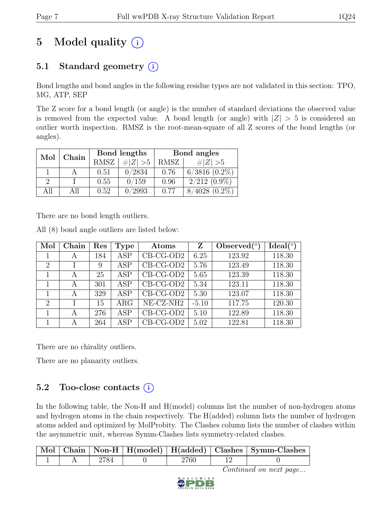# 5 Model quality  $(i)$

## 5.1 Standard geometry  $(i)$

Bond lengths and bond angles in the following residue types are not validated in this section: TPO, MG, ATP, SEP

The Z score for a bond length (or angle) is the number of standard deviations the observed value is removed from the expected value. A bond length (or angle) with  $|Z| > 5$  is considered an outlier worth inspection. RMSZ is the root-mean-square of all Z scores of the bond lengths (or angles).

| Mol           | Chain |      | Bond lengths | Bond angles |                                    |  |
|---------------|-------|------|--------------|-------------|------------------------------------|--|
|               |       | RMSZ | $\# Z  > 5$  | RMSZ        | $\# Z  > 5$                        |  |
|               |       | 0.51 | 0/2834       | 0.76        | $6/3816$ $(0.2\%)$                 |  |
| $\mathcal{D}$ |       | 0.55 | 0/159        | 0.96        | $2/212(0.9\%)$                     |  |
| A 11          | All   | 0.52 | 0/2993       | 0.77        | $(4028)(0.2\%)$<br>$\mathcal{R}$ / |  |

There are no bond length outliers.

All (8) bond angle outliers are listed below:

| Mol            | Chain | Res | Type       | Atoms                 | Z       | Observed $(°)$ | $Ideal(^o)$ |
|----------------|-------|-----|------------|-----------------------|---------|----------------|-------------|
|                | А     | 184 | <b>ASP</b> | $CB-CG-OD2$           | 6.25    | 123.92         | 118.30      |
| $\overline{2}$ |       | 9   | <b>ASP</b> | $CB-CG-OD2$           | 5.76    | 123.49         | 118.30      |
|                | А     | 25  | <b>ASP</b> | $CB-CG-OD2$           | 5.65    | 123.39         | 118.30      |
|                | А     | 301 | <b>ASP</b> | $CB-CG-OD2$           | 5.34    | 123.11         | 118.30      |
|                | A     | 329 | ASP        | $CB-CG-OD2$           | 5.30    | 123.07         | 118.30      |
| $\overline{2}$ |       | 15  | $\rm{ARG}$ | NE-CZ-NH <sub>2</sub> | $-5.10$ | 117.75         | 120.30      |
|                | A     | 276 | ASP        | $CB-CG-OD2$           | 5.10    | 122.89         | 118.30      |
|                | А     | 264 | <b>ASP</b> | $CB-CG-OD2$           | 5.02    | 122.81         | 118.30      |

There are no chirality outliers.

There are no planarity outliers.

## 5.2 Too-close contacts  $(i)$

In the following table, the Non-H and H(model) columns list the number of non-hydrogen atoms and hydrogen atoms in the chain respectively. The H(added) column lists the number of hydrogen atoms added and optimized by MolProbity. The Clashes column lists the number of clashes within the asymmetric unit, whereas Symm-Clashes lists symmetry-related clashes.

|  |  |     | Mol   Chain   Non-H   H(model)   H(added)   Clashes   Symm-Clashes |
|--|--|-----|--------------------------------------------------------------------|
|  |  | 760 |                                                                    |

Continued on next page...

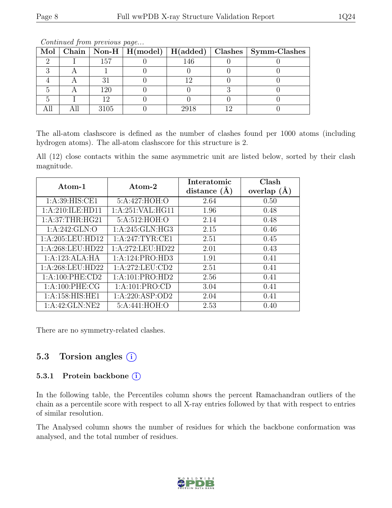|  |      |      | Mol   Chain   Non-H   $H$ (model)   $H$ (added)   Clashes   Symm-Clashes |
|--|------|------|--------------------------------------------------------------------------|
|  | 157  | 146  |                                                                          |
|  |      |      |                                                                          |
|  |      |      |                                                                          |
|  | 120  |      |                                                                          |
|  |      |      |                                                                          |
|  | 3105 | 2918 |                                                                          |

Continued from previous page...

The all-atom clashscore is defined as the number of clashes found per 1000 atoms (including hydrogen atoms). The all-atom clashscore for this structure is 2.

All (12) close contacts within the same asymmetric unit are listed below, sorted by their clash magnitude.

| Atom-1             | Atom-2              | Interatomic<br>distance $(A)$ | Clash<br>overlap $(A)$ |
|--------------------|---------------------|-------------------------------|------------------------|
| 1: A:39: HIS: CE1  | 5:A:427:HOH:O       | 2.64                          | 0.50                   |
| 1:A:210:ILE:HD11   | 1: A:251: VAL: HG11 | 1.96                          | 0.48                   |
| 1: A:37:THR:HG21   | 5:A:512:HOH:O       | 2.14                          | 0.48                   |
| 1:A:242:GLN:O      | 1: A:245: GLN: HG3  | 2.15                          | 0.46                   |
| 1:A:205:LEU:HD12   | 1:A:247:TYR:CE1     | 2.51                          | 0.45                   |
| 1:A:268:LEU:HD22   | 1:A:272:LEU:HD22    | 2.01                          | 0.43                   |
| 1:A:123:ALA:HA     | 1:A:124:PRO:HD3     | 1.91                          | 0.41                   |
| 1:A:268:LEU:HD22   | 1:A:272:LEU:CD2     | 2.51                          | 0.41                   |
| 1: A:100: PHE:CD2  | 1:A:101:PRO:HD2     | 2.56                          | 0.41                   |
| 1:A:100:PHE:CG     | 1: A: 101: PRO: CD  | 3.04                          | 0.41                   |
| 1: A:158: HIS: HE1 | 1:A:220:ASP:OD2     | 2.04                          | 0.41                   |
| 1:A:42:GLN:NE2     | 5: A:441: HOH:O     | 2.53                          | 0.40                   |

There are no symmetry-related clashes.

#### 5.3 Torsion angles  $(i)$

#### 5.3.1 Protein backbone (i)

In the following table, the Percentiles column shows the percent Ramachandran outliers of the chain as a percentile score with respect to all X-ray entries followed by that with respect to entries of similar resolution.

The Analysed column shows the number of residues for which the backbone conformation was analysed, and the total number of residues.

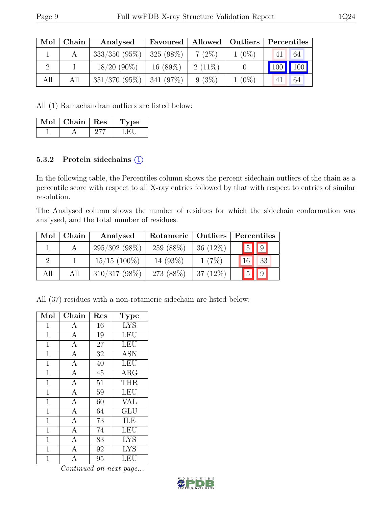| Mol | Chain | Analysed                      |            |           |          | Favoured   Allowed   Outliers   Percentiles |
|-----|-------|-------------------------------|------------|-----------|----------|---------------------------------------------|
|     |       | $333/350$ (95\%)   325 (98\%) |            | $7(2\%)$  | $1(0\%)$ | 64<br>41                                    |
|     |       | $18/20(90\%)$                 | $16(89\%)$ | $2(11\%)$ |          | 100 100                                     |
| All | All   | $351/370$ (95\%)   341 (97\%) |            | $9(3\%)$  | $1(0\%)$ | 64                                          |

All (1) Ramachandran outliers are listed below:

| $\operatorname{Mol}$ | $\vert$ Chain $\vert$ Res | <b>Type</b> |
|----------------------|---------------------------|-------------|
|                      |                           |             |

#### 5.3.2 Protein sidechains (i)

In the following table, the Percentiles column shows the percent sidechain outliers of the chain as a percentile score with respect to all X-ray entries followed by that with respect to entries of similar resolution.

The Analysed column shows the number of residues for which the sidechain conformation was analysed, and the total number of residues.

| Mol | Chain | Analysed        | Rotameric   Outliers |             | Percentiles           |  |  |
|-----|-------|-----------------|----------------------|-------------|-----------------------|--|--|
|     |       | $295/302(98\%)$ | 259 (88\%)           | 36 $(12\%)$ | $5$   9               |  |  |
|     |       | $15/15$ (100%)  | 14 (93%)             | $1(7\%)$    | 33<br>16 <sub>1</sub> |  |  |
| All | All   | $310/317(98\%)$ | 273 (88%)            | $37(12\%)$  | 5                     |  |  |

All (37) residues with a non-rotameric sidechain are listed below:

| Mol            | Chain            | Res | Type                    |
|----------------|------------------|-----|-------------------------|
| $\mathbf{1}$   | A                | 16  | <b>LYS</b>              |
| $\mathbf 1$    | $\mathbf{A}$     | 19  | <b>LEU</b>              |
| $\mathbf{1}$   | $\mathbf{A}$     | 27  | <b>LEU</b>              |
| $\mathbf{1}$   | $\mathbf{A}$     | 32  | <b>ASN</b>              |
| $\overline{1}$ | $\boldsymbol{A}$ | 40  | <b>LEU</b>              |
| $\mathbf{1}$   | $\overline{A}$   | 45  | $\overline{\rm{ARG}}$   |
| $\mathbf{1}$   | $\mathbf{A}$     | 51  | <b>THR</b>              |
| $\overline{1}$ | $\overline{A}$   | 59  | $\overline{\text{LEU}}$ |
| $\mathbf{1}$   | $\overline{A}$   | 60  | <b>VAL</b>              |
| $\mathbf{1}$   | $\mathbf{A}$     | 64  | GLU                     |
| $\overline{1}$ | $\overline{A}$   | 73  | ILE                     |
| $\mathbf{1}$   | $\mathbf{A}$     | 74  | <b>LEU</b>              |
| $\mathbf{1}$   | $\overline{A}$   | 83  | <b>LYS</b>              |
| $\mathbf 1$    | $\boldsymbol{A}$ | 92  | <b>LYS</b>              |
| 1              | A                | 95  | LEU                     |

Continued on next page...

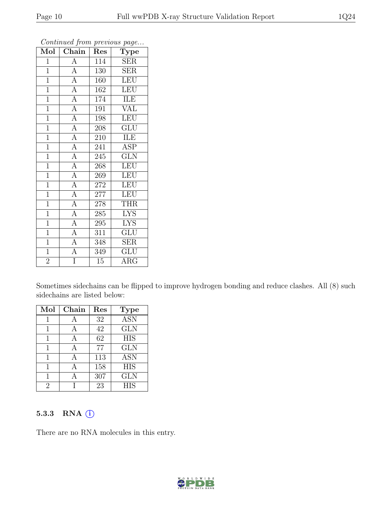| Mol            | Chain              | Res | $\overline{\text{Type}}$      |
|----------------|--------------------|-----|-------------------------------|
| $\mathbf{1}$   | $\overline{A}$     | 114 | <b>SER</b>                    |
| $\overline{1}$ | $\overline{\rm A}$ | 130 | <b>SER</b>                    |
| $\overline{1}$ | $\overline{A}$     | 160 | LEU                           |
| $\mathbf{1}$   | $\overline{A}$     | 162 | <b>LEU</b>                    |
| $\mathbf{1}$   | $\overline{A}$     | 174 | ILE                           |
| $\mathbf{1}$   | $\overline{A}$     | 191 | <b>VAL</b>                    |
| $\overline{1}$ | $\overline{A}$     | 198 | <b>LEU</b>                    |
| $\overline{1}$ | $\overline{A}$     | 208 | GLU                           |
| $\mathbf{1}$   | $\overline{A}$     | 210 | ILE                           |
| $\overline{1}$ | $\overline{A}$     | 241 | $\overline{\text{ASP}}$       |
| $\overline{1}$ | $\overline{A}$     | 245 | <b>GLN</b>                    |
| $\overline{1}$ | $\overline{A}$     | 268 | LEU                           |
| $\mathbf{1}$   | $\overline{A}$     | 269 | LEU                           |
| $\mathbf{1}$   | $\overline{A}$     | 272 | $\overline{\text{LEU}}$       |
| $\overline{1}$ | $\overline{A}$     | 277 | <b>LEU</b>                    |
| $\overline{1}$ | $\overline{A}$     | 278 | <b>THR</b>                    |
| $\overline{1}$ | $\overline{A}$     | 285 | $\overline{I} \overline{Y} S$ |
| $\mathbf{1}$   | $\overline{A}$     | 295 | <b>LYS</b>                    |
| $\mathbf{1}$   | $\overline{A}$     | 311 | <b>GLU</b>                    |
| $\mathbf{1}$   | $\overline{A}$     | 348 | <b>SER</b>                    |
| $\overline{1}$ | $\overline{\rm A}$ | 349 | $\overline{\text{GLU}}$       |
| $\overline{2}$ | $\overline{I}$     | 15  | $\rm{ARG}$                    |

Continued from previous page...

Sometimes sidechains can be flipped to improve hydrogen bonding and reduce clashes. All (8) such sidechains are listed below:

| Mol | Chain | Res | <b>Type</b> |
|-----|-------|-----|-------------|
| 1   |       | 32  | <b>ASN</b>  |
| 1   |       | 42  | <b>GLN</b>  |
| 1   | А     | 62  | <b>HIS</b>  |
| 1   | А     | 77  | <b>GLN</b>  |
|     |       | 113 | <b>ASN</b>  |
|     |       | 158 | <b>HIS</b>  |
|     |       | 307 | <b>GLN</b>  |
| 2   |       | 23  | <b>HIS</b>  |

#### 5.3.3 RNA (i)

There are no RNA molecules in this entry.

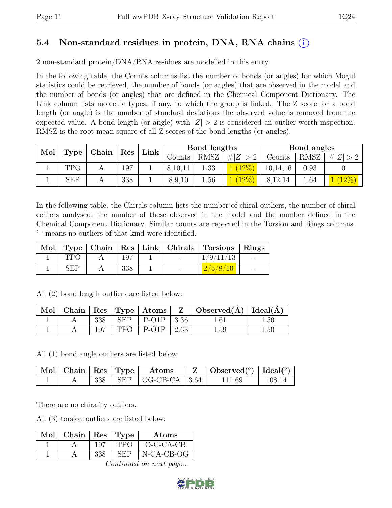### 5.4 Non-standard residues in protein, DNA, RNA chains (i)

2 non-standard protein/DNA/RNA residues are modelled in this entry.

In the following table, the Counts columns list the number of bonds (or angles) for which Mogul statistics could be retrieved, the number of bonds (or angles) that are observed in the model and the number of bonds (or angles) that are defined in the Chemical Component Dictionary. The Link column lists molecule types, if any, to which the group is linked. The Z score for a bond length (or angle) is the number of standard deviations the observed value is removed from the expected value. A bond length (or angle) with  $|Z| > 2$  is considered an outlier worth inspection. RMSZ is the root-mean-square of all Z scores of the bond lengths (or angles).

| Mol |            | Type   Chain |            |      |         |      |                     |          |             |             |  |  |  |  |  |  |  |  |  |  |  | Bond lengths |  |  | Bond angles |  |
|-----|------------|--------------|------------|------|---------|------|---------------------|----------|-------------|-------------|--|--|--|--|--|--|--|--|--|--|--|--------------|--|--|-------------|--|
|     |            |              | $\mid$ Res | Link | Counts  | RMSZ | # $ Z  > 2$         | Counts   | <b>RMSZ</b> | # $ Z  > 2$ |  |  |  |  |  |  |  |  |  |  |  |              |  |  |             |  |
|     | TPO        |              | 197        |      | 8,10,11 | 1.33 | $\left(12\%\right)$ | 10,14,16 | 0.93        |             |  |  |  |  |  |  |  |  |  |  |  |              |  |  |             |  |
|     | <b>SEP</b> |              | 338        |      | 8,9,10  | 1.56 | $(12\%)$            | 8,12,14  | 1.64        |             |  |  |  |  |  |  |  |  |  |  |  |              |  |  |             |  |

In the following table, the Chirals column lists the number of chiral outliers, the number of chiral centers analysed, the number of these observed in the model and the number defined in the Chemical Component Dictionary. Similar counts are reported in the Torsion and Rings columns. '-' means no outliers of that kind were identified.

|            |     |        | Mol   Type   Chain   Res   Link   Chirals   Torsions   Rings |  |
|------------|-----|--------|--------------------------------------------------------------|--|
| <b>TPO</b> | 197 | $\sim$ | 1/9/11/13                                                    |  |
| <b>SEP</b> | 338 |        |                                                              |  |

| $\mod$ $\blacksquare$ |     |            |              |        | Chain   Res   Type   Atoms   $Z$   Observed( $A$ )   Ideal( $A$ ) |                |
|-----------------------|-----|------------|--------------|--------|-------------------------------------------------------------------|----------------|
|                       | 338 | <b>SEP</b> | P-O1P   3.36 |        | $1.61\,$                                                          | 1.50           |
|                       | 197 | TPO        | $P-O1P$      | $2.63$ | 1.59                                                              | $1.50^{\circ}$ |

All (2) bond length outliers are listed below:

All (1) bond angle outliers are listed below:

|  |  | $\sqrt{Mol}$   Chain   Res   Type   Atoms | $\parallel$ Z $\parallel$ Observed( <sup>o</sup> ) $\parallel$ Ideal( <sup>o</sup> ) $\parallel$ |        |
|--|--|-------------------------------------------|--------------------------------------------------------------------------------------------------|--------|
|  |  | $338$   SEP   OG-CB-CA   3.64             | 111.69                                                                                           | 108.14 |

There are no chirality outliers.

All (3) torsion outliers are listed below:

| $Mol$   Chain   Res   Type |     |     | Atoms        |
|----------------------------|-----|-----|--------------|
|                            | 197 | TPO | $O-C-CA-CB$  |
|                            | 338 | SEP | $N-CA-CB-OG$ |

Continued on next page...

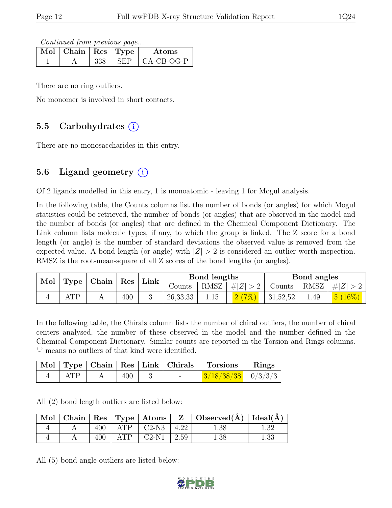Continued from previous page...

| Mol | $\overline{\text{Chain}} \mid \text{Res} \mid \text{Type}$ |     | Atoms      |
|-----|------------------------------------------------------------|-----|------------|
|     |                                                            | 3EP | CA-CB-OG-P |

There are no ring outliers.

No monomer is involved in short contacts.

### 5.5 Carbohydrates  $(i)$

There are no monosaccharides in this entry.

### 5.6 Ligand geometry  $(i)$

Of 2 ligands modelled in this entry, 1 is monoatomic - leaving 1 for Mogul analysis.

In the following table, the Counts columns list the number of bonds (or angles) for which Mogul statistics could be retrieved, the number of bonds (or angles) that are observed in the model and the number of bonds (or angles) that are defined in the Chemical Component Dictionary. The Link column lists molecule types, if any, to which the group is linked. The Z score for a bond length (or angle) is the number of standard deviations the observed value is removed from the expected value. A bond length (or angle) with  $|Z| > 2$  is considered an outlier worth inspection. RMSZ is the root-mean-square of all Z scores of the bond lengths (or angles).

| Mol<br>Type |              | $\vert$ Chain $\vert$ Res $\vert$ |     | Link |            | Bond lengths |           | Bond angles           |      |                                                            |
|-------------|--------------|-----------------------------------|-----|------|------------|--------------|-----------|-----------------------|------|------------------------------------------------------------|
|             |              |                                   |     |      | Counts     | RMSZ         | $\# Z >2$ | Counts   RMSZ $\vert$ |      | $\vert \#  Z $                                             |
|             | $\Lambda$ TD |                                   | 400 |      | 26, 33, 33 | 1.15         |           | 31,52,52              | 1.49 | $\begin{array}{ c c c }\n\hline\n5 \ (16\% )\n\end{array}$ |

In the following table, the Chirals column lists the number of chiral outliers, the number of chiral centers analysed, the number of these observed in the model and the number defined in the Chemical Component Dictionary. Similar counts are reported in the Torsion and Rings columns. '-' means no outliers of that kind were identified.

|     |     |  | Mol Type Chain Res Link Chirals Torsions Rings |  |
|-----|-----|--|------------------------------------------------|--|
| ATP | 400 |  | $\frac{3}{18/38/38}$   0/3/3/3                 |  |

All (2) bond length outliers are listed below:

|  |     |                    | $\mathbb{N}$ ol   Chain   Res   Type   Atoms   Z |        | $\Box$ Observed( $\AA$ ) $\Box$ Ideal( $\AA$ ) |      |
|--|-----|--------------------|--------------------------------------------------|--------|------------------------------------------------|------|
|  | 400 | ATP                | $C2-N3$                                          | 4.22   |                                                |      |
|  | 400 | $\Delta \text{TP}$ | $C2-N1$                                          | $2.59$ | 1.38                                           | 1.33 |

All (5) bond angle outliers are listed below:

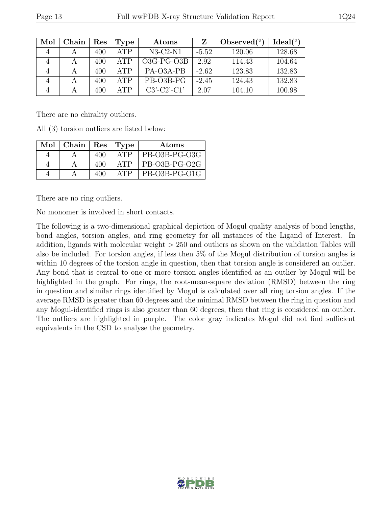| Mol | Chain                   | Res | <b>Type</b> | $\rm{Atoms}$  | Z       | Observed $(°)$ | Ideal $(°)$ |
|-----|-------------------------|-----|-------------|---------------|---------|----------------|-------------|
|     | $\forall$               | 400 | ATP         | $N3-C2-N1$    | $-5.52$ | 120.06         | 128.68      |
|     | $\overline{\mathsf{A}}$ | 400 | ATP         | $O3G-PG-O3B$  | 2.92    | 114.43         | 104.64      |
|     | А                       | 400 | ATP         | PA-O3A-PB     | $-2.62$ | 123.83         | 132.83      |
|     |                         | 400 | ATP         | PB-O3B-PG     | $-2.45$ | 124.43         | 132.83      |
|     |                         | 400 | ATP         | $C3'-C2'-C1'$ | 2.07    | 104.10         | 100.98      |

There are no chirality outliers.

All (3) torsion outliers are listed below:

| $Mol$   Chain   Res   Type |     |     | Atoms         |
|----------------------------|-----|-----|---------------|
|                            | 400 | ATP | PB-O3B-PG-O3G |
|                            | 400 | ATP | PB-O3B-PG-O2G |
|                            | 400 | ATP | PB-O3B-PG-O1G |

There are no ring outliers.

No monomer is involved in short contacts.

The following is a two-dimensional graphical depiction of Mogul quality analysis of bond lengths, bond angles, torsion angles, and ring geometry for all instances of the Ligand of Interest. In addition, ligands with molecular weight > 250 and outliers as shown on the validation Tables will also be included. For torsion angles, if less then 5% of the Mogul distribution of torsion angles is within 10 degrees of the torsion angle in question, then that torsion angle is considered an outlier. Any bond that is central to one or more torsion angles identified as an outlier by Mogul will be highlighted in the graph. For rings, the root-mean-square deviation (RMSD) between the ring in question and similar rings identified by Mogul is calculated over all ring torsion angles. If the average RMSD is greater than 60 degrees and the minimal RMSD between the ring in question and any Mogul-identified rings is also greater than 60 degrees, then that ring is considered an outlier. The outliers are highlighted in purple. The color gray indicates Mogul did not find sufficient equivalents in the CSD to analyse the geometry.



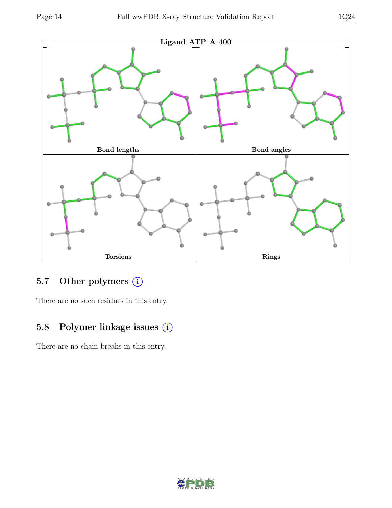

Torsions Rings

## 5.7 Other polymers (i)

There are no such residues in this entry.

### 5.8 Polymer linkage issues (i)

There are no chain breaks in this entry.

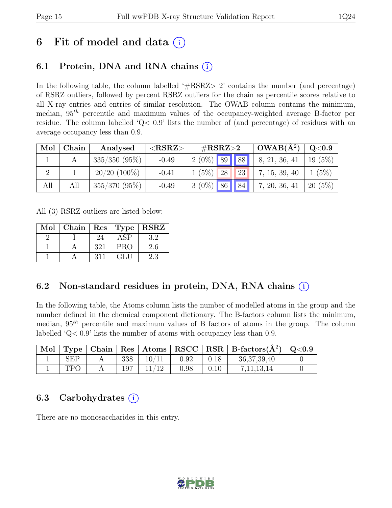## 6 Fit of model and data  $(i)$

### 6.1 Protein, DNA and RNA chains (i)

In the following table, the column labelled  $#RSRZ>2$  contains the number (and percentage) of RSRZ outliers, followed by percent RSRZ outliers for the chain as percentile scores relative to all X-ray entries and entries of similar resolution. The OWAB column contains the minimum, median,  $95<sup>th</sup>$  percentile and maximum values of the occupancy-weighted average B-factor per residue. The column labelled 'Q< 0.9' lists the number of (and percentage) of residues with an average occupancy less than 0.9.

| Mol | Chain | Analysed        | ${ <\hspace{-1.5pt}{\mathrm{RSRZ}} \hspace{-1.5pt}>}$ | $\#\text{RSRZ}\text{>2}$ |               | $OWAB(A^2)$ | Q <sub>0.9</sub> |           |
|-----|-------|-----------------|-------------------------------------------------------|--------------------------|---------------|-------------|------------------|-----------|
|     |       | $335/350(95\%)$ | $-0.49$                                               | $2(0\%)$ 89 88           |               |             | 8, 21, 36, 41    | $19(5\%)$ |
|     |       | $20/20$ (100%)  | $-0.41$                                               | $1(5\%)$                 | <sup>28</sup> | <b>23</b>   | 7, 15, 39, 40    | $1(5\%)$  |
| All | All   | $355/370(95\%)$ | $-0.49$                                               | $3(0\%)$ 86 84           |               |             | 7, 20, 36, 41    | $20(5\%)$ |

All (3) RSRZ outliers are listed below:

| Mol |     |     | Chain   Res   Type   RSRZ |
|-----|-----|-----|---------------------------|
|     | 24  | ASP | 3.2                       |
|     | 321 | PRO | 2.6                       |
|     | 311 | GLU | 2.3                       |

### 6.2 Non-standard residues in protein, DNA, RNA chains (i)

In the following table, the Atoms column lists the number of modelled atoms in the group and the number defined in the chemical component dictionary. The B-factors column lists the minimum, median,  $95<sup>th</sup>$  percentile and maximum values of B factors of atoms in the group. The column labelled 'Q< 0.9' lists the number of atoms with occupancy less than 0.9.

| $\blacksquare$ Mol $\parallel$ |            |     |       |      |      | Type   Chain   Res   Atoms   RSCC   RSR   B-factors $(A^2)$   Q<0.9 |  |
|--------------------------------|------------|-----|-------|------|------|---------------------------------------------------------------------|--|
|                                | <b>SEP</b> | 338 | 10/11 | 0.92 | 0.18 | 36, 37, 39, 40                                                      |  |
|                                | TPC.       |     | 11/12 | 0.98 | 0.10 | 7, 11, 13, 14                                                       |  |

### 6.3 Carbohydrates  $(i)$

There are no monosaccharides in this entry.